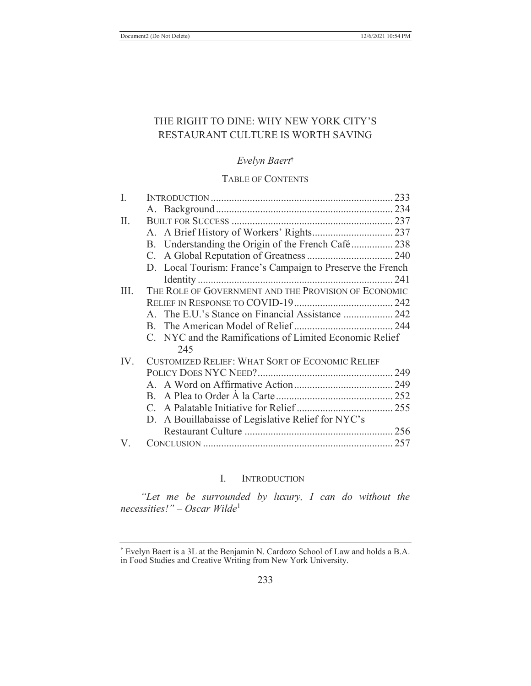# THE RIGHT TO DINE: WHY NEW YORK CITY'S RESTAURANT CULTURE IS WORTH SAVING

# *Evelyn Baert*†

# TABLE OF CONTENTS

| I.   |                                                            |  |
|------|------------------------------------------------------------|--|
|      |                                                            |  |
| II.  |                                                            |  |
|      |                                                            |  |
|      | B. Understanding the Origin of the French Café238          |  |
|      |                                                            |  |
|      | D. Local Tourism: France's Campaign to Preserve the French |  |
|      |                                                            |  |
| III. | THE ROLE OF GOVERNMENT AND THE PROVISION OF ECONOMIC       |  |
|      |                                                            |  |
|      | A. The E.U.'s Stance on Financial Assistance  242          |  |
|      |                                                            |  |
|      | C. NYC and the Ramifications of Limited Economic Relief    |  |
|      | 245                                                        |  |
| IV.  | <b>CUSTOMIZED RELIEF: WHAT SORT OF ECONOMIC RELIEF</b>     |  |
|      |                                                            |  |
|      |                                                            |  |
|      |                                                            |  |
|      |                                                            |  |
|      | D. A Bouillabaisse of Legislative Relief for NYC's         |  |
|      |                                                            |  |
| V.   |                                                            |  |

# I. INTRODUCTION

*"Let me be surrounded by luxury, I can do without the necessities!" – Oscar Wilde*<sup>1</sup>

<sup>†</sup> Evelyn Baert is a 3L at the Benjamin N. Cardozo School of Law and holds a B.A. in Food Studies and Creative Writing from New York University.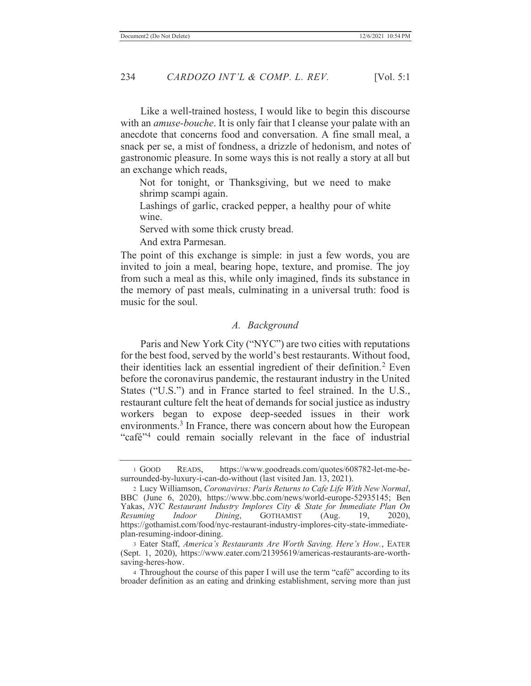Like a well-trained hostess, I would like to begin this discourse with an *amuse-bouche*. It is only fair that I cleanse your palate with an anecdote that concerns food and conversation. A fine small meal, a snack per se, a mist of fondness, a drizzle of hedonism, and notes of gastronomic pleasure. In some ways this is not really a story at all but an exchange which reads,

Not for tonight, or Thanksgiving, but we need to make shrimp scampi again.

Lashings of garlic, cracked pepper, a healthy pour of white wine.

Served with some thick crusty bread.

And extra Parmesan.

The point of this exchange is simple: in just a few words, you are invited to join a meal, bearing hope, texture, and promise. The joy from such a meal as this, while only imagined, finds its substance in the memory of past meals, culminating in a universal truth: food is music for the soul.

#### *A. Background*

Paris and New York City ("NYC") are two cities with reputations for the best food, served by the world's best restaurants. Without food, their identities lack an essential ingredient of their definition.<sup>2</sup> Even before the coronavirus pandemic, the restaurant industry in the United States ("U.S.") and in France started to feel strained. In the U.S., restaurant culture felt the heat of demands for social justice as industry workers began to expose deep-seeded issues in their work environments.<sup>3</sup> In France, there was concern about how the European "café"4 could remain socially relevant in the face of industrial

<sup>1</sup> GOOD READS, https://www.goodreads.com/quotes/608782-let-me-besurrounded-by-luxury-i-can-do-without (last visited Jan. 13, 2021).

<sup>2</sup> Lucy Williamson, *Coronavirus: Paris Returns to Cafe Life With New Normal*, BBC (June 6, 2020), https://www.bbc.com/news/world-europe-52935145; Ben Yakas, *NYC Restaurant Industry Implores City & State for Immediate Plan On Resuming Indoor Dining*, GOTHAMIST (Aug. 19, 2020), https://gothamist.com/food/nyc-restaurant-industry-implores-city-state-immediateplan-resuming-indoor-dining.

<sup>3</sup> Eater Staff, *America's Restaurants Are Worth Saving. Here's How.*, EATER (Sept. 1, 2020), https://www.eater.com/21395619/americas-restaurants-are-worthsaving-heres-how.

<sup>4</sup> Throughout the course of this paper I will use the term "café" according to its broader definition as an eating and drinking establishment, serving more than just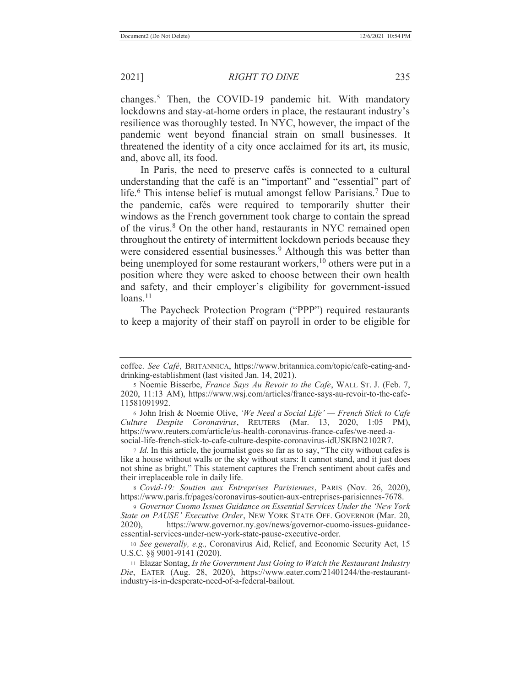changes.<sup>5</sup> Then, the COVID-19 pandemic hit. With mandatory lockdowns and stay-at-home orders in place, the restaurant industry's resilience was thoroughly tested. In NYC, however, the impact of the pandemic went beyond financial strain on small businesses. It threatened the identity of a city once acclaimed for its art, its music, and, above all, its food.

In Paris, the need to preserve cafés is connected to a cultural understanding that the café is an "important" and "essential" part of life.<sup>6</sup> This intense belief is mutual amongst fellow Parisians.<sup>7</sup> Due to the pandemic, cafés were required to temporarily shutter their windows as the French government took charge to contain the spread of the virus.<sup>8</sup> On the other hand, restaurants in NYC remained open throughout the entirety of intermittent lockdown periods because they were considered essential businesses.<sup>9</sup> Although this was better than being unemployed for some restaurant workers,<sup>10</sup> others were put in a position where they were asked to choose between their own health and safety, and their employer's eligibility for government-issued  $loans.<sup>11</sup>$ 

The Paycheck Protection Program ("PPP") required restaurants to keep a majority of their staff on payroll in order to be eligible for

6 John Irish & Noemie Olive, *'We Need a Social Life' — French Stick to Cafe Culture Despite Coronavirus*, REUTERS (Mar. 13, 2020, 1:05 PM), https://www.reuters.com/article/us-health-coronavirus-france-cafes/we-need-asocial-life-french-stick-to-cafe-culture-despite-coronavirus-idUSKBN2102R7.

<sup>7</sup> *Id.* In this article, the journalist goes so far as to say, "The city without cafes is like a house without walls or the sky without stars: It cannot stand, and it just does not shine as bright." This statement captures the French sentiment about cafés and their irreplaceable role in daily life.

<sup>8</sup> *Covid-19: Soutien aux Entreprises Parisiennes*, PARIS (Nov. 26, 2020), https://www.paris.fr/pages/coronavirus-soutien-aux-entreprises-parisiennes-7678.

<sup>9</sup> *Governor Cuomo Issues Guidance on Essential Services Under the 'New York State on PAUSE' Executive Order*, NEW YORK STATE OFF. GOVERNOR (Mar. 20, 2020), https://www.governor.ny.gov/news/governor-cuomo-issues-guidanceessential-services-under-new-york-state-pause-executive-order.

<sup>10</sup> *See generally, e.g.,* Coronavirus Aid, Relief, and Economic Security Act, 15 U.S.C. §§ 9001-9141 (2020).

11 Elazar Sontag, *Is the Government Just Going to Watch the Restaurant Industry Die*, EATER (Aug. 28, 2020), https://www.eater.com/21401244/the-restaurantindustry-is-in-desperate-need-of-a-federal-bailout.

coffee. *See Café*, BRITANNICA, https://www.britannica.com/topic/cafe-eating-anddrinking-establishment (last visited Jan. 14, 2021).

<sup>5</sup> Noemie Bisserbe, *France Says Au Revoir to the Cafe*, WALL ST. J. (Feb. 7, 2020, 11:13 AM), https://www.wsj.com/articles/france-says-au-revoir-to-the-cafe-11581091992.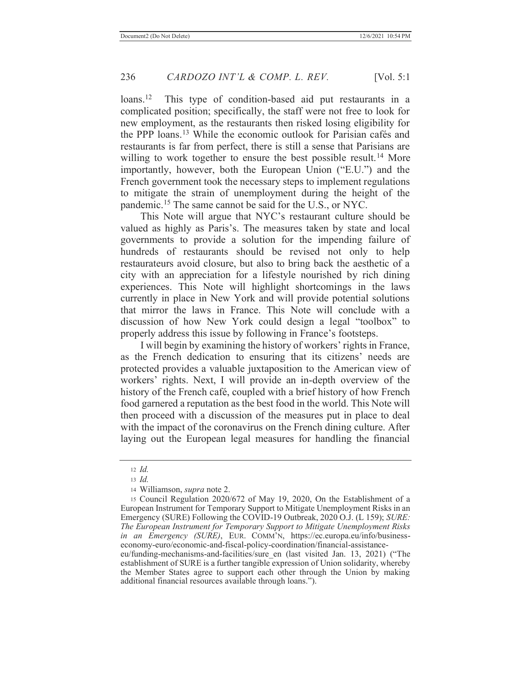loans.<sup>12</sup> This type of condition-based aid put restaurants in a complicated position; specifically, the staff were not free to look for new employment, as the restaurants then risked losing eligibility for the PPP loans.13 While the economic outlook for Parisian cafés and restaurants is far from perfect, there is still a sense that Parisians are willing to work together to ensure the best possible result.<sup>14</sup> More importantly, however, both the European Union ("E.U.") and the French government took the necessary steps to implement regulations to mitigate the strain of unemployment during the height of the pandemic.15 The same cannot be said for the U.S., or NYC.

This Note will argue that NYC's restaurant culture should be valued as highly as Paris's. The measures taken by state and local governments to provide a solution for the impending failure of hundreds of restaurants should be revised not only to help restaurateurs avoid closure, but also to bring back the aesthetic of a city with an appreciation for a lifestyle nourished by rich dining experiences. This Note will highlight shortcomings in the laws currently in place in New York and will provide potential solutions that mirror the laws in France. This Note will conclude with a discussion of how New York could design a legal "toolbox" to properly address this issue by following in France's footsteps.

I will begin by examining the history of workers' rights in France, as the French dedication to ensuring that its citizens' needs are protected provides a valuable juxtaposition to the American view of workers' rights. Next, I will provide an in-depth overview of the history of the French café, coupled with a brief history of how French food garnered a reputation as the best food in the world. This Note will then proceed with a discussion of the measures put in place to deal with the impact of the coronavirus on the French dining culture. After laying out the European legal measures for handling the financial

14 Williamson, *supra* note 2.

establishment of SURE is a further tangible expression of Union solidarity, whereby the Member States agree to support each other through the Union by making additional financial resources available through loans.").

<sup>12</sup> *Id.*

<sup>13</sup> *Id.*

<sup>15</sup> Council Regulation 2020/672 of May 19, 2020, On the Establishment of a European Instrument for Temporary Support to Mitigate Unemployment Risks in an Emergency (SURE) Following the COVID-19 Outbreak, 2020 O.J. (L 159); *SURE: The European Instrument for Temporary Support to Mitigate Unemployment Risks in an Emergency (SURE)*, EUR. COMM'N, https://ec.europa.eu/info/businesseconomy-euro/economic-and-fiscal-policy-coordination/financial-assistanceeu/funding-mechanisms-and-facilities/sure\_en (last visited Jan. 13, 2021) ("The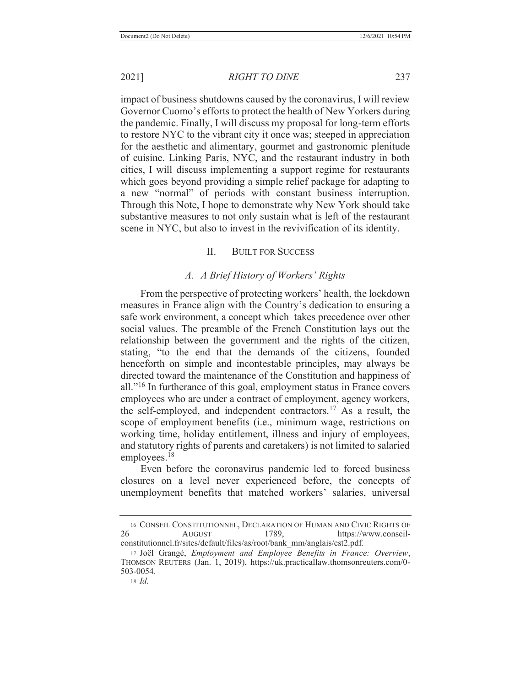2021] *RIGHT TO DINE* 237

impact of business shutdowns caused by the coronavirus, I will review Governor Cuomo's efforts to protect the health of New Yorkers during the pandemic. Finally, I will discuss my proposal for long-term efforts to restore NYC to the vibrant city it once was; steeped in appreciation for the aesthetic and alimentary, gourmet and gastronomic plenitude of cuisine. Linking Paris, NYC, and the restaurant industry in both cities, I will discuss implementing a support regime for restaurants which goes beyond providing a simple relief package for adapting to a new "normal" of periods with constant business interruption. Through this Note, I hope to demonstrate why New York should take substantive measures to not only sustain what is left of the restaurant scene in NYC, but also to invest in the revivification of its identity.

# II. BUILT FOR SUCCESS

#### *A. A Brief History of Workers' Rights*

From the perspective of protecting workers' health, the lockdown measures in France align with the Country's dedication to ensuring a safe work environment, a concept which takes precedence over other social values. The preamble of the French Constitution lays out the relationship between the government and the rights of the citizen, stating, "to the end that the demands of the citizens, founded henceforth on simple and incontestable principles, may always be directed toward the maintenance of the Constitution and happiness of all."16 In furtherance of this goal, employment status in France covers employees who are under a contract of employment, agency workers, the self-employed, and independent contractors.17 As a result, the scope of employment benefits (i.e., minimum wage, restrictions on working time, holiday entitlement, illness and injury of employees, and statutory rights of parents and caretakers) is not limited to salaried employees.18

Even before the coronavirus pandemic led to forced business closures on a level never experienced before, the concepts of unemployment benefits that matched workers' salaries, universal

<sup>16</sup> CONSEIL CONSTITUTIONNEL, DECLARATION OF HUMAN AND CIVIC RIGHTS OF 26 AUGUST 1789, https://www.conseilconstitutionnel.fr/sites/default/files/as/root/bank\_mm/anglais/cst2.pdf.

<sup>17</sup> Joël Grangé, *Employment and Employee Benefits in France: Overview*, THOMSON REUTERS (Jan. 1, 2019), https://uk.practicallaw.thomsonreuters.com/0- 503-0054.

<sup>18</sup> *Id.*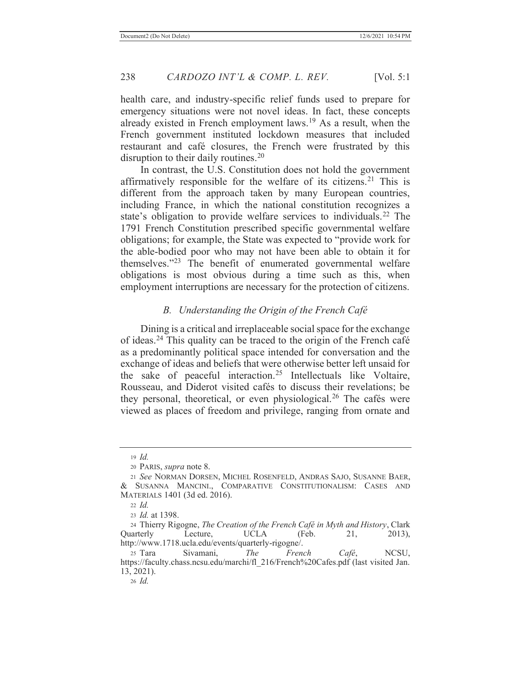health care, and industry-specific relief funds used to prepare for emergency situations were not novel ideas. In fact, these concepts already existed in French employment laws.19 As a result, when the French government instituted lockdown measures that included restaurant and café closures, the French were frustrated by this disruption to their daily routines.<sup>20</sup>

In contrast, the U.S. Constitution does not hold the government affirmatively responsible for the welfare of its citizens.<sup>21</sup> This is different from the approach taken by many European countries, including France, in which the national constitution recognizes a state's obligation to provide welfare services to individuals.<sup>22</sup> The 1791 French Constitution prescribed specific governmental welfare obligations; for example, the State was expected to "provide work for the able-bodied poor who may not have been able to obtain it for themselves."23 The benefit of enumerated governmental welfare obligations is most obvious during a time such as this, when employment interruptions are necessary for the protection of citizens.

# *B. Understanding the Origin of the French Café*

Dining is a critical and irreplaceable social space for the exchange of ideas.24 This quality can be traced to the origin of the French café as a predominantly political space intended for conversation and the exchange of ideas and beliefs that were otherwise better left unsaid for the sake of peaceful interaction.25 Intellectuals like Voltaire, Rousseau, and Diderot visited cafés to discuss their revelations; be they personal, theoretical, or even physiological.26 The cafés were viewed as places of freedom and privilege, ranging from ornate and

<sup>19</sup> *Id.*

<sup>20</sup> PARIS, *supra* note 8.

<sup>21</sup> *See* NORMAN DORSEN, MICHEL ROSENFELD, ANDRAS SAJO, SUSANNE BAER, & SUSANNA MANCINI., COMPARATIVE CONSTITUTIONALISM: CASES AND MATERIALS 1401 (3d ed. 2016).

<sup>22</sup> *Id.*

<sup>23</sup> *Id.* at 1398.

<sup>24</sup> Thierry Rigogne, *The Creation of the French Café in Myth and History*, Clark Quarterly Lecture, UCLA (Feb. 21, 2013), http://www.1718.ucla.edu/events/quarterly-rigogne/.

<sup>25</sup> Tara Sivamani, *The French Café*, NCSU, https://faculty.chass.ncsu.edu/marchi/fl\_216/French%20Cafes.pdf (last visited Jan. 13, 2021).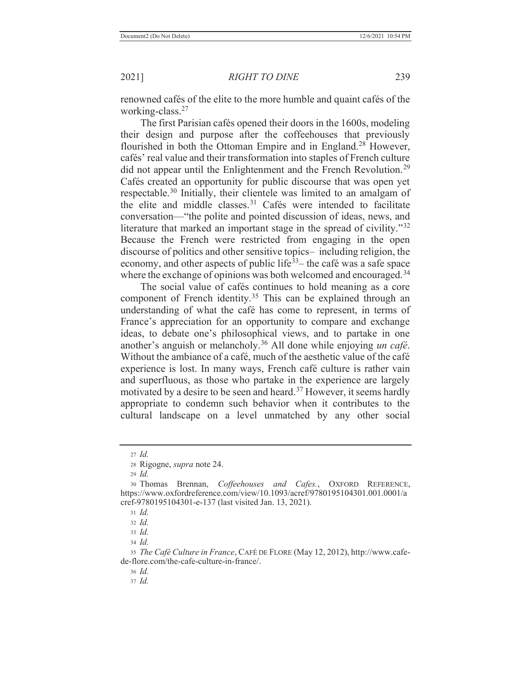renowned cafés of the elite to the more humble and quaint cafés of the working-class.27

The first Parisian cafés opened their doors in the 1600s, modeling their design and purpose after the coffeehouses that previously flourished in both the Ottoman Empire and in England.<sup>28</sup> However, cafés' real value and their transformation into staples of French culture did not appear until the Enlightenment and the French Revolution.<sup>29</sup> Cafés created an opportunity for public discourse that was open yet respectable.30 Initially, their clientele was limited to an amalgam of the elite and middle classes.<sup>31</sup> Cafés were intended to facilitate conversation—"the polite and pointed discussion of ideas, news, and literature that marked an important stage in the spread of civility."<sup>32</sup> Because the French were restricted from engaging in the open discourse of politics and other sensitive topics– including religion, the economy, and other aspects of public life<sup> $33$ </sup> the café was a safe space where the exchange of opinions was both welcomed and encouraged.<sup>34</sup>

The social value of cafés continues to hold meaning as a core component of French identity.<sup>35</sup> This can be explained through an understanding of what the café has come to represent, in terms of France's appreciation for an opportunity to compare and exchange ideas, to debate one's philosophical views, and to partake in one another's anguish or melancholy.36 All done while enjoying *un café*. Without the ambiance of a café, much of the aesthetic value of the café experience is lost. In many ways, French café culture is rather vain and superfluous, as those who partake in the experience are largely motivated by a desire to be seen and heard.<sup>37</sup> However, it seems hardly appropriate to condemn such behavior when it contributes to the cultural landscape on a level unmatched by any other social

<sup>27</sup> *Id.*

<sup>28</sup> Rigogne, *supra* note 24.

<sup>29</sup> *Id.*

<sup>30</sup> Thomas Brennan, *Coffeehouses and Cafes.*, OXFORD REFERENCE, https://www.oxfordreference.com/view/10.1093/acref/9780195104301.001.0001/a cref-9780195104301-e-137 (last visited Jan. 13, 2021).

<sup>31</sup> *Id.*

<sup>32</sup> *Id.*

<sup>33</sup> *Id.*

<sup>34</sup> *Id.*

<sup>35</sup> *The Café Culture in France*, CAFÉ DE FLORE (May 12, 2012), http://www.cafede-flore.com/the-cafe-culture-in-france/.

<sup>36</sup> *Id.*

<sup>37</sup> *Id.*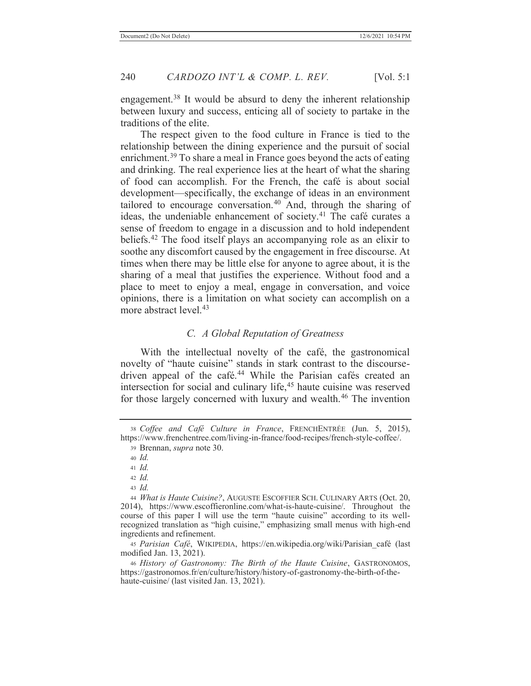engagement.<sup>38</sup> It would be absurd to deny the inherent relationship between luxury and success, enticing all of society to partake in the traditions of the elite.

The respect given to the food culture in France is tied to the relationship between the dining experience and the pursuit of social enrichment.<sup>39</sup> To share a meal in France goes beyond the acts of eating and drinking. The real experience lies at the heart of what the sharing of food can accomplish. For the French, the café is about social development—specifically, the exchange of ideas in an environment tailored to encourage conversation.<sup>40</sup> And, through the sharing of ideas, the undeniable enhancement of society.41 The café curates a sense of freedom to engage in a discussion and to hold independent beliefs.42 The food itself plays an accompanying role as an elixir to soothe any discomfort caused by the engagement in free discourse. At times when there may be little else for anyone to agree about, it is the sharing of a meal that justifies the experience. Without food and a place to meet to enjoy a meal, engage in conversation, and voice opinions, there is a limitation on what society can accomplish on a more abstract level.<sup>43</sup>

# *C. A Global Reputation of Greatness*

With the intellectual novelty of the café, the gastronomical novelty of "haute cuisine" stands in stark contrast to the discoursedriven appeal of the café.<sup>44</sup> While the Parisian cafés created an intersection for social and culinary life,<sup>45</sup> haute cuisine was reserved for those largely concerned with luxury and wealth.<sup>46</sup> The invention

<sup>38</sup> *Coffee and Café Culture in France*, FRENCHENTRÉE (Jun. 5, 2015), https://www.frenchentree.com/living-in-france/food-recipes/french-style-coffee/.

<sup>39</sup> Brennan, *supra* note 30.

<sup>40</sup> *Id.*

<sup>41</sup> *Id.*

<sup>42</sup> *Id.*

<sup>44</sup> *What is Haute Cuisine?*, AUGUSTE ESCOFFIER SCH. CULINARY ARTS (Oct. 20, 2014), https://www.escoffieronline.com/what-is-haute-cuisine/. Throughout the course of this paper I will use the term "haute cuisine" according to its wellrecognized translation as "high cuisine," emphasizing small menus with high-end ingredients and refinement.

<sup>45</sup> *Parisian Café*, WIKIPEDIA, https://en.wikipedia.org/wiki/Parisian\_café (last modified Jan. 13, 2021).

<sup>46</sup> *History of Gastronomy: The Birth of the Haute Cuisine*, GASTRONOMOS, https://gastronomos.fr/en/culture/history/history-of-gastronomy-the-birth-of-thehaute-cuisine/ (last visited Jan. 13, 2021).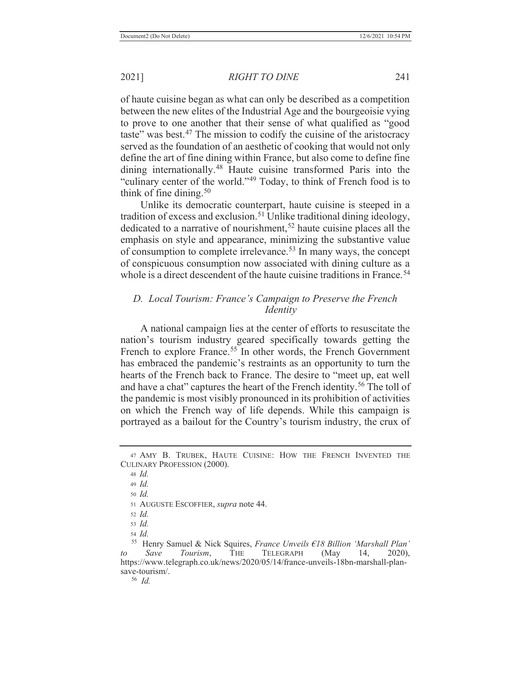2021] *RIGHT TO DINE* 241

of haute cuisine began as what can only be described as a competition between the new elites of the Industrial Age and the bourgeoisie vying to prove to one another that their sense of what qualified as "good taste" was best.<sup>47</sup> The mission to codify the cuisine of the aristocracy served as the foundation of an aesthetic of cooking that would not only define the art of fine dining within France, but also come to define fine dining internationally.48 Haute cuisine transformed Paris into the "culinary center of the world."49 Today, to think of French food is to think of fine dining.<sup>50</sup>

Unlike its democratic counterpart, haute cuisine is steeped in a tradition of excess and exclusion.<sup>51</sup> Unlike traditional dining ideology, dedicated to a narrative of nourishment,<sup>52</sup> haute cuisine places all the emphasis on style and appearance, minimizing the substantive value of consumption to complete irrelevance.<sup>53</sup> In many ways, the concept of conspicuous consumption now associated with dining culture as a whole is a direct descendent of the haute cuisine traditions in France.<sup>54</sup>

# *D. Local Tourism: France's Campaign to Preserve the French Identity*

A national campaign lies at the center of efforts to resuscitate the nation's tourism industry geared specifically towards getting the French to explore France.<sup>55</sup> In other words, the French Government has embraced the pandemic's restraints as an opportunity to turn the hearts of the French back to France. The desire to "meet up, eat well and have a chat" captures the heart of the French identity.<sup>56</sup> The toll of the pandemic is most visibly pronounced in its prohibition of activities on which the French way of life depends. While this campaign is portrayed as a bailout for the Country's tourism industry, the crux of

<sup>50</sup> *Id.*

<sup>47</sup> AMY B. TRUBEK, HAUTE CUISINE: HOW THE FRENCH INVENTED THE CULINARY PROFESSION (2000).

<sup>48</sup> *Id.*

<sup>49</sup> *Id.*

<sup>51</sup> AUGUSTE ESCOFFIER, *supra* note 44.

<sup>52</sup> *Id.*

<sup>53</sup> *Id.*

 <sup>55</sup> Henry Samuel & Nick Squires, *France Unveils €18 Billion 'Marshall Plan' to Save Tourism*, THE TELEGRAPH (May 14, 2020), https://www.telegraph.co.uk/news/2020/05/14/france-unveils-18bn-marshall-plansave-tourism/.

 <sup>56</sup> *Id.*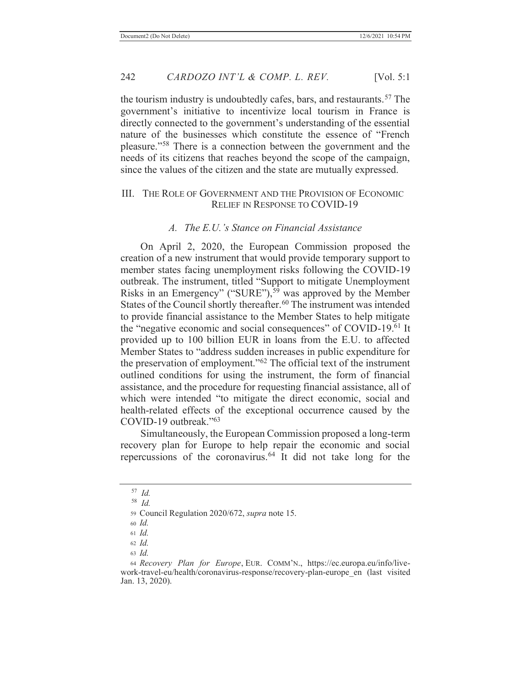the tourism industry is undoubtedly cafes, bars, and restaurants.<sup>57</sup> The government's initiative to incentivize local tourism in France is directly connected to the government's understanding of the essential nature of the businesses which constitute the essence of "French pleasure."58 There is a connection between the government and the needs of its citizens that reaches beyond the scope of the campaign, since the values of the citizen and the state are mutually expressed.

#### III. THE ROLE OF GOVERNMENT AND THE PROVISION OF ECONOMIC RELIEF IN RESPONSE TO COVID-19

### *A. The E.U.'s Stance on Financial Assistance*

On April 2, 2020, the European Commission proposed the creation of a new instrument that would provide temporary support to member states facing unemployment risks following the COVID-19 outbreak. The instrument, titled "Support to mitigate Unemployment Risks in an Emergency" ("SURE"),<sup>59</sup> was approved by the Member States of the Council shortly thereafter.<sup>60</sup> The instrument was intended to provide financial assistance to the Member States to help mitigate the "negative economic and social consequences" of COVID-19.<sup>61</sup> It provided up to 100 billion EUR in loans from the E.U. to affected Member States to "address sudden increases in public expenditure for the preservation of employment."62 The official text of the instrument outlined conditions for using the instrument, the form of financial assistance, and the procedure for requesting financial assistance, all of which were intended "to mitigate the direct economic, social and health-related effects of the exceptional occurrence caused by the COVID-19 outbreak."<sup>63</sup>

Simultaneously, the European Commission proposed a long-term recovery plan for Europe to help repair the economic and social repercussions of the coronavirus.<sup>64</sup> It did not take long for the

 <sup>57</sup> *Id.*

 <sup>58</sup> *Id.*

<sup>59</sup> Council Regulation 2020/672, *supra* note 15.

<sup>60</sup> *Id.*

<sup>61</sup> *Id.*

<sup>62</sup> *Id.*

<sup>63</sup> *Id.*

<sup>64</sup> *Recovery Plan for Europe*, EUR. COMM'N., https://ec.europa.eu/info/livework-travel-eu/health/coronavirus-response/recovery-plan-europe\_en (last visited Jan. 13, 2020).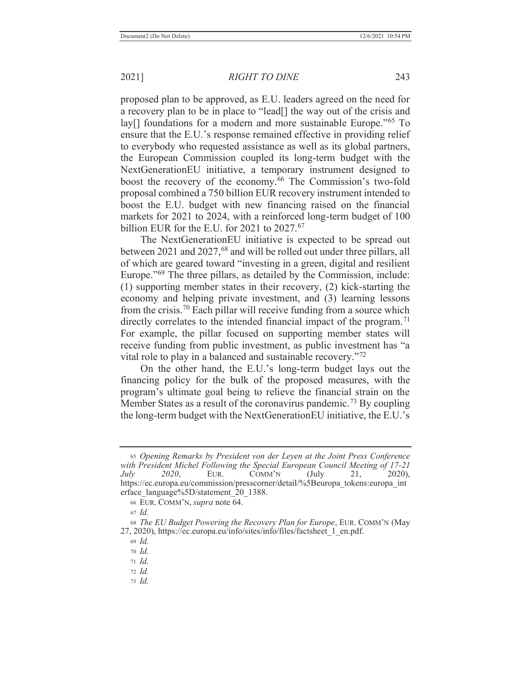proposed plan to be approved, as E.U. leaders agreed on the need for a recovery plan to be in place to "lead[] the way out of the crisis and lay[] foundations for a modern and more sustainable Europe."<sup>65</sup> To ensure that the E.U.'s response remained effective in providing relief to everybody who requested assistance as well as its global partners, the European Commission coupled its long-term budget with the NextGenerationEU initiative, a temporary instrument designed to boost the recovery of the economy.<sup>66</sup> The Commission's two-fold proposal combined a 750 billion EUR recovery instrument intended to boost the E.U. budget with new financing raised on the financial markets for 2021 to 2024, with a reinforced long-term budget of 100 billion EUR for the E.U. for 2021 to 2027.<sup>67</sup>

The NextGenerationEU initiative is expected to be spread out between 2021 and 2027,<sup>68</sup> and will be rolled out under three pillars, all of which are geared toward "investing in a green, digital and resilient Europe."<sup>69</sup> The three pillars, as detailed by the Commission, include: (1) supporting member states in their recovery, (2) kick-starting the economy and helping private investment, and (3) learning lessons from the crisis.<sup>70</sup> Each pillar will receive funding from a source which directly correlates to the intended financial impact of the program.<sup>71</sup> For example, the pillar focused on supporting member states will receive funding from public investment, as public investment has "a vital role to play in a balanced and sustainable recovery."<sup>72</sup>

On the other hand, the E.U.'s long-term budget lays out the financing policy for the bulk of the proposed measures, with the program's ultimate goal being to relieve the financial strain on the Member States as a result of the coronavirus pandemic.<sup>73</sup> By coupling the long-term budget with the NextGenerationEU initiative, the E.U.'s

<sup>71</sup> *Id.*

<sup>65</sup> *Opening Remarks by President von der Leyen at the Joint Press Conference with President Michel Following the Special European Council Meeting of 17-21 July 2020*, EUR. COMM'N (July 21, 2020), https://ec.europa.eu/commission/presscorner/detail/%5Beuropa\_tokens:europa\_int erface\_language%5D/statement\_20\_1388.

<sup>66</sup> EUR. COMM'N, *supra* note 64.

<sup>67</sup> *Id.*

<sup>68</sup> *The EU Budget Powering the Recovery Plan for Europe*, EUR. COMM'N (May 27, 2020), https://ec.europa.eu/info/sites/info/files/factsheet\_1\_en.pdf.

<sup>69</sup> *Id.*

<sup>70</sup> *Id.*

<sup>72</sup> *Id.*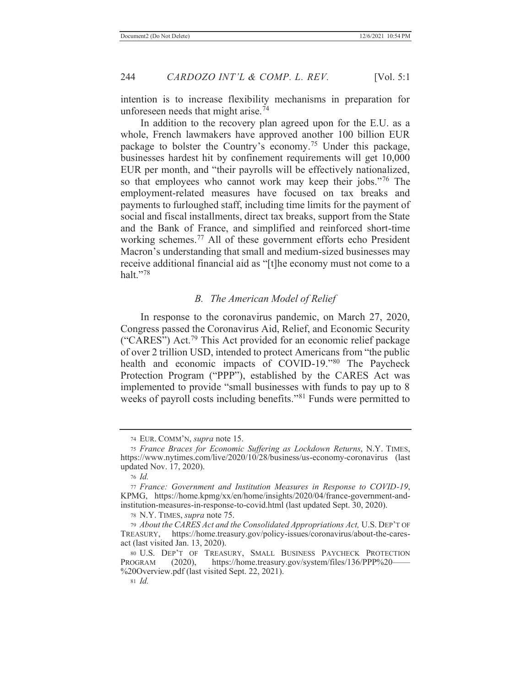intention is to increase flexibility mechanisms in preparation for unforeseen needs that might arise.<sup> $74$ </sup>

In addition to the recovery plan agreed upon for the E.U. as a whole, French lawmakers have approved another 100 billion EUR package to bolster the Country's economy.75 Under this package, businesses hardest hit by confinement requirements will get 10,000 EUR per month, and "their payrolls will be effectively nationalized, so that employees who cannot work may keep their jobs."<sup>76</sup> The employment-related measures have focused on tax breaks and payments to furloughed staff, including time limits for the payment of social and fiscal installments, direct tax breaks, support from the State and the Bank of France, and simplified and reinforced short-time working schemes.77 All of these government efforts echo President Macron's understanding that small and medium-sized businesses may receive additional financial aid as "[t]he economy must not come to a halt." $78$ 

# *B. The American Model of Relief*

In response to the coronavirus pandemic, on March 27, 2020, Congress passed the Coronavirus Aid, Relief, and Economic Security ("CARES") Act.79 This Act provided for an economic relief package of over 2 trillion USD, intended to protect Americans from "the public health and economic impacts of COVID-19."80 The Paycheck Protection Program ("PPP"), established by the CARES Act was implemented to provide "small businesses with funds to pay up to 8 weeks of payroll costs including benefits."81 Funds were permitted to

<sup>74</sup> EUR. COMM'N, *supra* note 15.

<sup>75</sup> *France Braces for Economic Suffering as Lockdown Returns*, N.Y. TIMES, https://www.nytimes.com/live/2020/10/28/business/us-economy-coronavirus (last updated Nov. 17, 2020).

<sup>76</sup> *Id.*

<sup>77</sup> *France: Government and Institution Measures in Response to COVID-19*, KPMG, https://home.kpmg/xx/en/home/insights/2020/04/france-government-andinstitution-measures-in-response-to-covid.html (last updated Sept. 30, 2020).

<sup>78</sup> N.Y. TIMES, *supra* note 75.

<sup>79</sup> *About the CARES Act and the Consolidated Appropriations Act,* U.S. DEP'T OF TREASURY, https://home.treasury.gov/policy-issues/coronavirus/about-the-caresact (last visited Jan. 13, 2020).

<sup>80</sup> U.S. DEP'T OF TREASURY, SMALL BUSINESS PAYCHECK PROTECTION PROGRAM (2020), https://home.treasury.gov/system/files/136/PPP%20-%20Overview.pdf (last visited Sept. 22, 2021).

<sup>81</sup> *Id.*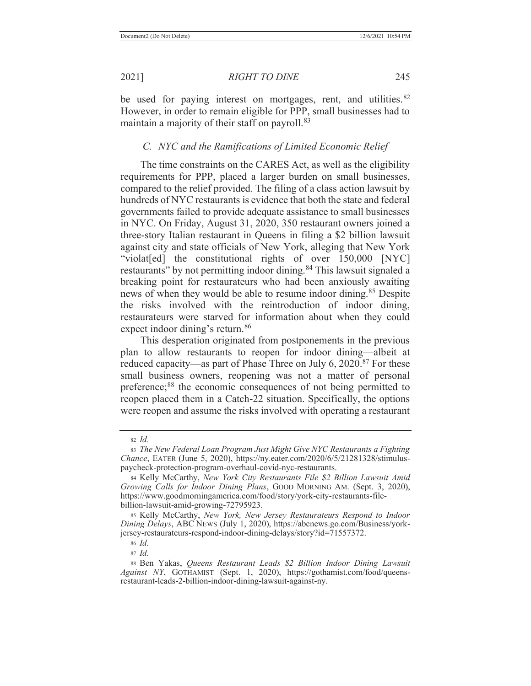be used for paying interest on mortgages, rent, and utilities.  $82$ However, in order to remain eligible for PPP, small businesses had to maintain a majority of their staff on payroll.<sup>83</sup>

# *C. NYC and the Ramifications of Limited Economic Relief*

The time constraints on the CARES Act, as well as the eligibility requirements for PPP, placed a larger burden on small businesses, compared to the relief provided. The filing of a class action lawsuit by hundreds of NYC restaurants is evidence that both the state and federal governments failed to provide adequate assistance to small businesses in NYC. On Friday, August 31, 2020, 350 restaurant owners joined a three-story Italian restaurant in Queens in filing a \$2 billion lawsuit against city and state officials of New York, alleging that New York "violat[ed] the constitutional rights of over 150,000 [NYC] restaurants" by not permitting indoor dining.<sup>84</sup> This lawsuit signaled a breaking point for restaurateurs who had been anxiously awaiting news of when they would be able to resume indoor dining.<sup>85</sup> Despite the risks involved with the reintroduction of indoor dining, restaurateurs were starved for information about when they could expect indoor dining's return.<sup>86</sup>

This desperation originated from postponements in the previous plan to allow restaurants to reopen for indoor dining—albeit at reduced capacity—as part of Phase Three on July 6,  $2020$ .<sup>87</sup> For these small business owners, reopening was not a matter of personal preference;<sup>88</sup> the economic consequences of not being permitted to reopen placed them in a Catch-22 situation. Specifically, the options were reopen and assume the risks involved with operating a restaurant

85 Kelly McCarthy, *New York, New Jersey Restaurateurs Respond to Indoor Dining Delays*, ABC NEWS (July 1, 2020), https://abcnews.go.com/Business/yorkjersey-restaurateurs-respond-indoor-dining-delays/story?id=71557372.

<sup>86</sup> *Id.*

<sup>82</sup> *Id.*

<sup>83</sup> *The New Federal Loan Program Just Might Give NYC Restaurants a Fighting Chance*, EATER (June 5, 2020), https://ny.eater.com/2020/6/5/21281328/stimuluspaycheck-protection-program-overhaul-covid-nyc-restaurants.

<sup>84</sup> Kelly McCarthy, *New York City Restaurants File \$2 Billion Lawsuit Amid Growing Calls for Indoor Dining Plans*, GOOD MORNING AM. (Sept. 3, 2020), https://www.goodmorningamerica.com/food/story/york-city-restaurants-filebillion-lawsuit-amid-growing-72795923.

<sup>88</sup> Ben Yakas, *Queens Restaurant Leads \$2 Billion Indoor Dining Lawsuit Against NY*, GOTHAMIST (Sept. 1, 2020), https://gothamist.com/food/queensrestaurant-leads-2-billion-indoor-dining-lawsuit-against-ny.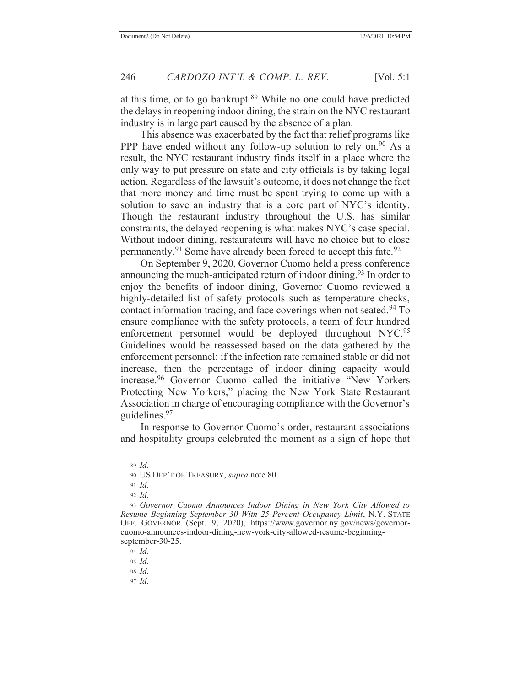at this time, or to go bankrupt.<sup>89</sup> While no one could have predicted the delays in reopening indoor dining, the strain on the NYC restaurant industry is in large part caused by the absence of a plan.

This absence was exacerbated by the fact that relief programs like PPP have ended without any follow-up solution to rely on.<sup>90</sup> As a result, the NYC restaurant industry finds itself in a place where the only way to put pressure on state and city officials is by taking legal action. Regardless of the lawsuit's outcome, it does not change the fact that more money and time must be spent trying to come up with a solution to save an industry that is a core part of NYC's identity. Though the restaurant industry throughout the U.S. has similar constraints, the delayed reopening is what makes NYC's case special. Without indoor dining, restaurateurs will have no choice but to close permanently.<sup>91</sup> Some have already been forced to accept this fate.<sup>92</sup>

On September 9, 2020, Governor Cuomo held a press conference announcing the much-anticipated return of indoor dining.<sup>93</sup> In order to enjoy the benefits of indoor dining, Governor Cuomo reviewed a highly-detailed list of safety protocols such as temperature checks, contact information tracing, and face coverings when not seated. 94 To ensure compliance with the safety protocols, a team of four hundred enforcement personnel would be deployed throughout NYC.<sup>95</sup> Guidelines would be reassessed based on the data gathered by the enforcement personnel: if the infection rate remained stable or did not increase, then the percentage of indoor dining capacity would increase.96 Governor Cuomo called the initiative "New Yorkers Protecting New Yorkers," placing the New York State Restaurant Association in charge of encouraging compliance with the Governor's guidelines.97

In response to Governor Cuomo's order, restaurant associations and hospitality groups celebrated the moment as a sign of hope that

<sup>94</sup> *Id.*

<sup>95</sup> *Id.*

<sup>96</sup> *Id.*

<sup>89</sup> *Id.*

<sup>90</sup> US DEP'T OF TREASURY, *supra* note 80.

<sup>91</sup> *Id.*

<sup>92</sup> *Id.*

<sup>93</sup> *Governor Cuomo Announces Indoor Dining in New York City Allowed to Resume Beginning September 30 With 25 Percent Occupancy Limit*, N.Y. STATE OFF. GOVERNOR (Sept. 9, 2020), https://www.governor.ny.gov/news/governorcuomo-announces-indoor-dining-new-york-city-allowed-resume-beginningseptember-30-25.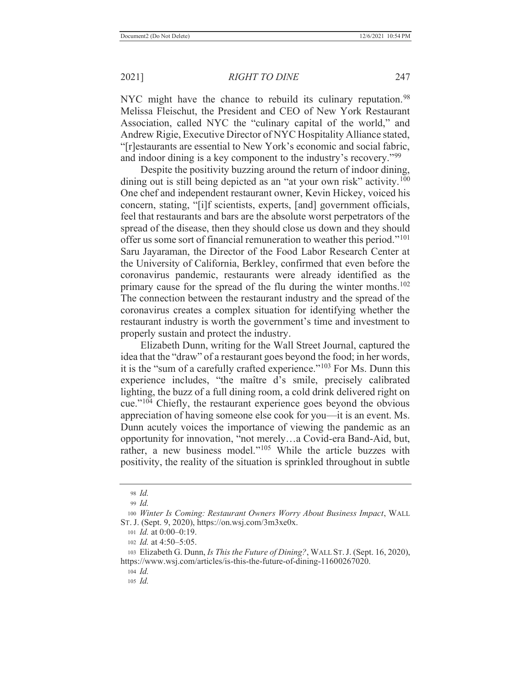NYC might have the chance to rebuild its culinary reputation.<sup>98</sup> Melissa Fleischut, the President and CEO of New York Restaurant Association, called NYC the "culinary capital of the world," and Andrew Rigie, Executive Director of NYC Hospitality Alliance stated, "[r]estaurants are essential to New York's economic and social fabric, and indoor dining is a key component to the industry's recovery."<sup>99</sup>

Despite the positivity buzzing around the return of indoor dining, dining out is still being depicted as an "at your own risk" activity.<sup>100</sup> One chef and independent restaurant owner, Kevin Hickey, voiced his concern, stating, "[i]f scientists, experts, [and] government officials, feel that restaurants and bars are the absolute worst perpetrators of the spread of the disease, then they should close us down and they should offer us some sort of financial remuneration to weather this period."<sup>101</sup> Saru Jayaraman, the Director of the Food Labor Research Center at the University of California, Berkley, confirmed that even before the coronavirus pandemic, restaurants were already identified as the primary cause for the spread of the flu during the winter months.<sup>102</sup> The connection between the restaurant industry and the spread of the coronavirus creates a complex situation for identifying whether the restaurant industry is worth the government's time and investment to properly sustain and protect the industry.

Elizabeth Dunn, writing for the Wall Street Journal, captured the idea that the "draw" of a restaurant goes beyond the food; in her words, it is the "sum of a carefully crafted experience."103 For Ms. Dunn this experience includes, "the maître d's smile, precisely calibrated lighting, the buzz of a full dining room, a cold drink delivered right on cue."104 Chiefly, the restaurant experience goes beyond the obvious appreciation of having someone else cook for you—it is an event. Ms. Dunn acutely voices the importance of viewing the pandemic as an opportunity for innovation, "not merely…a Covid-era Band-Aid, but, rather, a new business model."105 While the article buzzes with positivity, the reality of the situation is sprinkled throughout in subtle

<sup>98</sup> *Id.*

<sup>99</sup> *Id.*

<sup>100</sup> *Winter Is Coming: Restaurant Owners Worry About Business Impact*, WALL ST. J. (Sept. 9, 2020), https://on.wsj.com/3m3xe0x.

<sup>101</sup> *Id.* at 0:00–0:19.

<sup>102</sup> *Id.* at 4:50–5:05.

<sup>103</sup> Elizabeth G. Dunn, *Is This the Future of Dining?*, WALL ST.J. (Sept. 16, 2020), https://www.wsj.com/articles/is-this-the-future-of-dining-11600267020.

<sup>104</sup> *Id.*

<sup>105</sup> *Id.*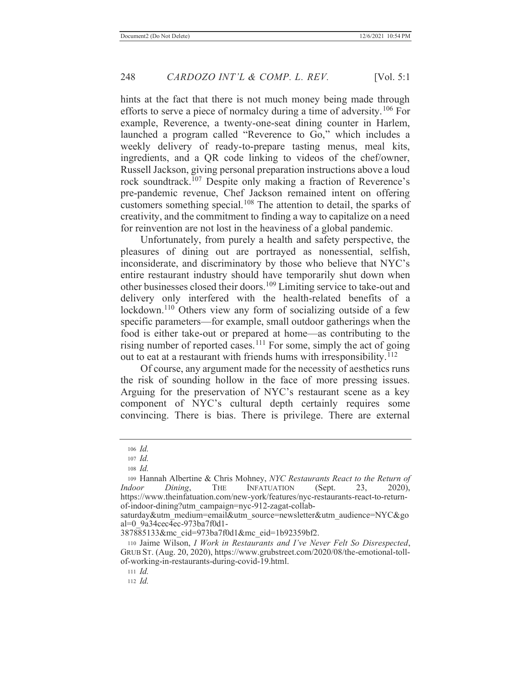hints at the fact that there is not much money being made through efforts to serve a piece of normalcy during a time of adversity. 106 For example, Reverence, a twenty-one-seat dining counter in Harlem, launched a program called "Reverence to Go," which includes a weekly delivery of ready-to-prepare tasting menus, meal kits, ingredients, and a QR code linking to videos of the chef/owner, Russell Jackson, giving personal preparation instructions above a loud rock soundtrack.107 Despite only making a fraction of Reverence's pre-pandemic revenue, Chef Jackson remained intent on offering customers something special.<sup>108</sup> The attention to detail, the sparks of creativity, and the commitment to finding a way to capitalize on a need for reinvention are not lost in the heaviness of a global pandemic.

Unfortunately, from purely a health and safety perspective, the pleasures of dining out are portrayed as nonessential, selfish, inconsiderate, and discriminatory by those who believe that NYC's entire restaurant industry should have temporarily shut down when other businesses closed their doors.109 Limiting service to take-out and delivery only interfered with the health-related benefits of a lockdown.<sup>110</sup> Others view any form of socializing outside of a few specific parameters—for example, small outdoor gatherings when the food is either take-out or prepared at home—as contributing to the rising number of reported cases.<sup>111</sup> For some, simply the act of going out to eat at a restaurant with friends hums with irresponsibility.<sup>112</sup>

Of course, any argument made for the necessity of aesthetics runs the risk of sounding hollow in the face of more pressing issues. Arguing for the preservation of NYC's restaurant scene as a key component of NYC's cultural depth certainly requires some convincing. There is bias. There is privilege. There are external

<sup>106</sup> *Id.*

<sup>107</sup> *Id.*

<sup>108</sup> *Id.*

<sup>109</sup> Hannah Albertine & Chris Mohney, *NYC Restaurants React to the Return of Indoor Dining*, THE INFATUATION (Sept. 23, 2020), https://www.theinfatuation.com/new-york/features/nyc-restaurants-react-to-returnof-indoor-dining?utm\_campaign=nyc-912-zagat-collab-

saturday&utm\_medium=email&utm\_source=newsletter&utm\_audience=NYC&go al=0\_9a34cec4ec-973ba7f0d1-

<sup>387885133&</sup>amp;mc\_cid=973ba7f0d1&mc\_eid=1b92359bf2.

<sup>110</sup> Jaime Wilson, *I Work in Restaurants and I've Never Felt So Disrespected*, GRUB ST. (Aug. 20, 2020), https://www.grubstreet.com/2020/08/the-emotional-tollof-working-in-restaurants-during-covid-19.html.

<sup>111</sup> *Id.*

<sup>112</sup> *Id.*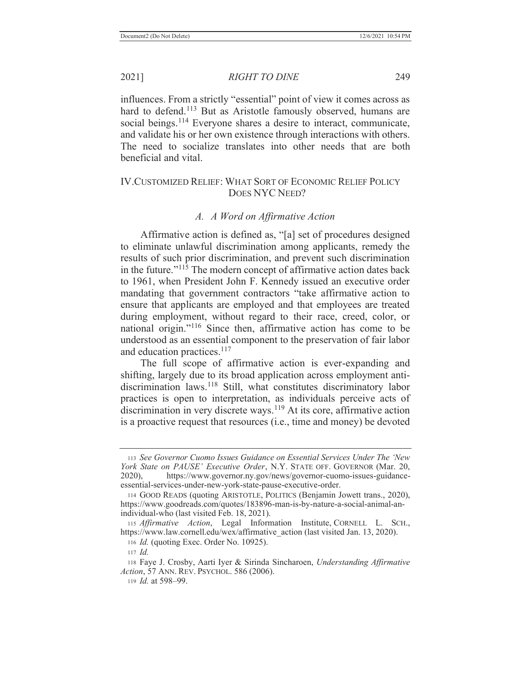2021] *RIGHT TO DINE* 249

influences. From a strictly "essential" point of view it comes across as hard to defend.<sup>113</sup> But as Aristotle famously observed, humans are social beings.<sup>114</sup> Everyone shares a desire to interact, communicate, and validate his or her own existence through interactions with others. The need to socialize translates into other needs that are both beneficial and vital.

# IV.CUSTOMIZED RELIEF: WHAT SORT OF ECONOMIC RELIEF POLICY DOES NYC NEED?

# *A. A Word on Affirmative Action*

Affirmative action is defined as, "[a] set of procedures designed to eliminate unlawful discrimination among applicants, remedy the results of such prior discrimination, and prevent such discrimination in the future."<sup>115</sup> The modern concept of affirmative action dates back to 1961, when President John F. Kennedy issued an executive order mandating that government contractors "take affirmative action to ensure that applicants are employed and that employees are treated during employment, without regard to their race, creed, color, or national origin."116 Since then, affirmative action has come to be understood as an essential component to the preservation of fair labor and education practices.<sup>117</sup>

The full scope of affirmative action is ever-expanding and shifting, largely due to its broad application across employment antidiscrimination laws.<sup>118</sup> Still, what constitutes discriminatory labor practices is open to interpretation, as individuals perceive acts of discrimination in very discrete ways.<sup>119</sup> At its core, affirmative action is a proactive request that resources (i.e., time and money) be devoted

<sup>116</sup> *Id.* (quoting Exec. Order No. 10925).

119 *Id.* at 598–99.

<sup>113</sup> *See Governor Cuomo Issues Guidance on Essential Services Under The 'New York State on PAUSE' Executive Order*, N.Y. STATE OFF. GOVERNOR (Mar. 20, 2020), https://www.governor.ny.gov/news/governor-cuomo-issues-guidanceessential-services-under-new-york-state-pause-executive-order.

<sup>114</sup> GOOD READS (quoting ARISTOTLE, POLITICS (Benjamin Jowett trans., 2020), https://www.goodreads.com/quotes/183896-man-is-by-nature-a-social-animal-anindividual-who (last visited Feb. 18, 2021).

<sup>115</sup> *Affirmative Action*, Legal Information Institute, CORNELL L. SCH., https://www.law.cornell.edu/wex/affirmative action (last visited Jan. 13, 2020).

<sup>117</sup> *Id.*

<sup>118</sup> Faye J. Crosby, Aarti Iyer & Sirinda Sincharoen, *Understanding Affirmative Action*, 57 ANN. REV. PSYCHOL. 586 (2006).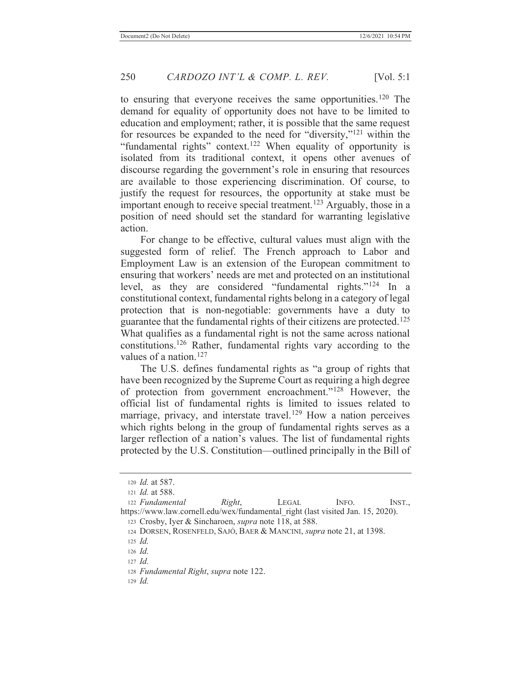to ensuring that everyone receives the same opportunities.<sup>120</sup> The demand for equality of opportunity does not have to be limited to education and employment; rather, it is possible that the same request for resources be expanded to the need for "diversity,"121 within the "fundamental rights" context.<sup>122</sup> When equality of opportunity is isolated from its traditional context, it opens other avenues of discourse regarding the government's role in ensuring that resources are available to those experiencing discrimination. Of course, to justify the request for resources, the opportunity at stake must be important enough to receive special treatment.<sup>123</sup> Arguably, those in a position of need should set the standard for warranting legislative action.

For change to be effective, cultural values must align with the suggested form of relief. The French approach to Labor and Employment Law is an extension of the European commitment to ensuring that workers' needs are met and protected on an institutional level, as they are considered "fundamental rights."124 In a constitutional context, fundamental rights belong in a category of legal protection that is non-negotiable: governments have a duty to guarantee that the fundamental rights of their citizens are protected.<sup>125</sup> What qualifies as a fundamental right is not the same across national constitutions.126 Rather, fundamental rights vary according to the values of a nation.<sup>127</sup>

The U.S. defines fundamental rights as "a group of rights that have been recognized by the Supreme Court as requiring a high degree of protection from government encroachment."128 However, the official list of fundamental rights is limited to issues related to marriage, privacy, and interstate travel.<sup>129</sup> How a nation perceives which rights belong in the group of fundamental rights serves as a larger reflection of a nation's values. The list of fundamental rights protected by the U.S. Constitution—outlined principally in the Bill of

<sup>120</sup> *Id.* at 587.

<sup>121</sup> *Id.* at 588.

<sup>122</sup> *Fundamental Right*, LEGAL INFO. INST., https://www.law.cornell.edu/wex/fundamental\_right (last visited Jan. 15, 2020).

<sup>123</sup> Crosby, Iyer & Sincharoen, *supra* note 118, at 588.

<sup>124</sup> DORSEN, ROSENFELD, SAJÓ, BAER & MANCINI, *supra* note 21, at 1398.

<sup>125</sup> *Id.*

<sup>126</sup> *Id.*

<sup>127</sup> *Id.*

<sup>128</sup> *Fundamental Right*, *supra* note 122.

<sup>129</sup> *Id.*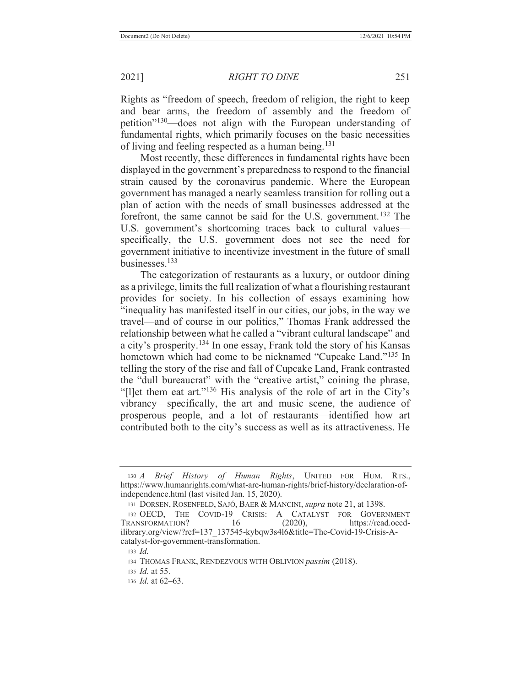Rights as "freedom of speech, freedom of religion, the right to keep and bear arms, the freedom of assembly and the freedom of petition"<sup>130</sup>—does not align with the European understanding of fundamental rights, which primarily focuses on the basic necessities of living and feeling respected as a human being.<sup>131</sup>

Most recently, these differences in fundamental rights have been displayed in the government's preparedness to respond to the financial strain caused by the coronavirus pandemic. Where the European government has managed a nearly seamless transition for rolling out a plan of action with the needs of small businesses addressed at the forefront, the same cannot be said for the U.S. government.<sup>132</sup> The U.S. government's shortcoming traces back to cultural values specifically, the U.S. government does not see the need for government initiative to incentivize investment in the future of small businesses.133

The categorization of restaurants as a luxury, or outdoor dining as a privilege, limits the full realization of what a flourishing restaurant provides for society. In his collection of essays examining how "inequality has manifested itself in our cities, our jobs, in the way we travel—and of course in our politics," Thomas Frank addressed the relationship between what he called a "vibrant cultural landscape" and a city's prosperity.134 In one essay, Frank told the story of his Kansas hometown which had come to be nicknamed "Cupcake Land."135 In telling the story of the rise and fall of Cupcake Land, Frank contrasted the "dull bureaucrat" with the "creative artist," coining the phrase, "[l]et them eat art."<sup>136</sup> His analysis of the role of art in the City's vibrancy—specifically, the art and music scene, the audience of prosperous people, and a lot of restaurants—identified how art contributed both to the city's success as well as its attractiveness. He

<sup>130</sup> *A Brief History of Human Rights*, UNITED FOR HUM. RTS., https://www.humanrights.com/what-are-human-rights/brief-history/declaration-ofindependence.html (last visited Jan. 15, 2020).

<sup>131</sup> DORSEN, ROSENFELD, SAJÓ, BAER & MANCINI, *supra* note 21, at 1398.

<sup>132</sup> OECD, THE COVID-19 CRISIS: A CATALYST FOR GOVERNMENT TRANSFORMATION? 16 (2020), https://read.oecdilibrary.org/view/?ref=137\_137545-kybqw3s4l6&title=The-Covid-19-Crisis-Acatalyst-for-government-transformation.

<sup>133</sup> *Id.*

<sup>134</sup> THOMAS FRANK, RENDEZVOUS WITH OBLIVION *passim* (2018).

<sup>135</sup> *Id.* at 55.

<sup>136</sup> *Id.* at 62–63.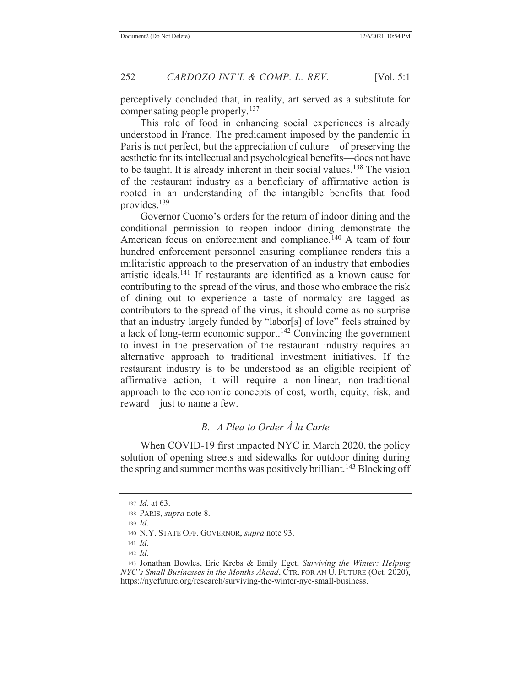perceptively concluded that, in reality, art served as a substitute for compensating people properly.<sup>137</sup>

This role of food in enhancing social experiences is already understood in France. The predicament imposed by the pandemic in Paris is not perfect, but the appreciation of culture—of preserving the aesthetic for its intellectual and psychological benefits—does not have to be taught. It is already inherent in their social values.<sup>138</sup> The vision of the restaurant industry as a beneficiary of affirmative action is rooted in an understanding of the intangible benefits that food provides.139

Governor Cuomo's orders for the return of indoor dining and the conditional permission to reopen indoor dining demonstrate the American focus on enforcement and compliance.<sup>140</sup> A team of four hundred enforcement personnel ensuring compliance renders this a militaristic approach to the preservation of an industry that embodies artistic ideals.141 If restaurants are identified as a known cause for contributing to the spread of the virus, and those who embrace the risk of dining out to experience a taste of normalcy are tagged as contributors to the spread of the virus, it should come as no surprise that an industry largely funded by "labor[s] of love" feels strained by a lack of long-term economic support.<sup>142</sup> Convincing the government to invest in the preservation of the restaurant industry requires an alternative approach to traditional investment initiatives. If the restaurant industry is to be understood as an eligible recipient of affirmative action, it will require a non-linear, non-traditional approach to the economic concepts of cost, worth, equity, risk, and reward—just to name a few.

# *B. A Plea to Order À la Carte*

When COVID-19 first impacted NYC in March 2020, the policy solution of opening streets and sidewalks for outdoor dining during the spring and summer months was positively brilliant.<sup>143</sup> Blocking off

<sup>137</sup> *Id.* at 63.

<sup>138</sup> PARIS, *supra* note 8.

<sup>139</sup> *Id.*

<sup>140</sup> N.Y. STATE OFF. GOVERNOR, *supra* note 93.

<sup>141</sup> *Id.*

<sup>142</sup> *Id.*

<sup>143</sup> Jonathan Bowles, Eric Krebs & Emily Eget, *Surviving the Winter: Helping NYC's Small Businesses in the Months Ahead*, CTR. FOR AN U. FUTURE (Oct. 2020), https://nycfuture.org/research/surviving-the-winter-nyc-small-business.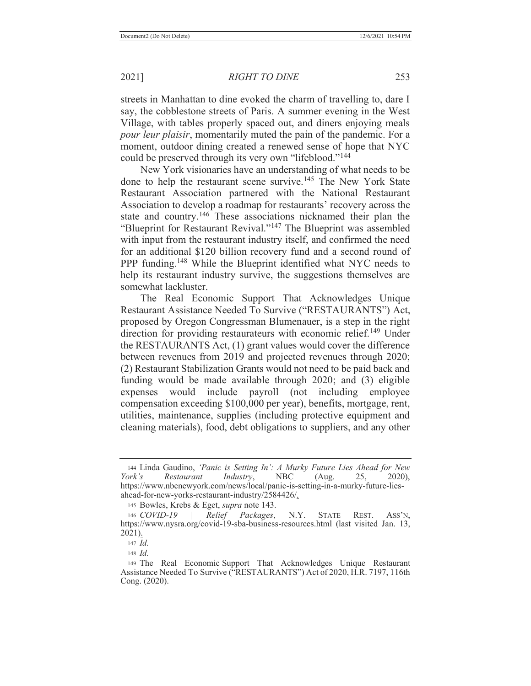streets in Manhattan to dine evoked the charm of travelling to, dare I say, the cobblestone streets of Paris. A summer evening in the West Village, with tables properly spaced out, and diners enjoying meals *pour leur plaisir*, momentarily muted the pain of the pandemic. For a moment, outdoor dining created a renewed sense of hope that NYC could be preserved through its very own "lifeblood."<sup>144</sup>

New York visionaries have an understanding of what needs to be done to help the restaurant scene survive.<sup>145</sup> The New York State Restaurant Association partnered with the National Restaurant Association to develop a roadmap for restaurants' recovery across the state and country.<sup>146</sup> These associations nicknamed their plan the "Blueprint for Restaurant Revival."147 The Blueprint was assembled with input from the restaurant industry itself, and confirmed the need for an additional \$120 billion recovery fund and a second round of PPP funding.<sup>148</sup> While the Blueprint identified what NYC needs to help its restaurant industry survive, the suggestions themselves are somewhat lackluster.

The Real Economic Support That Acknowledges Unique Restaurant Assistance Needed To Survive ("RESTAURANTS") Act, proposed by Oregon Congressman Blumenauer, is a step in the right direction for providing restaurateurs with economic relief.<sup>149</sup> Under the RESTAURANTS Act, (1) grant values would cover the difference between revenues from 2019 and projected revenues through 2020; (2) Restaurant Stabilization Grants would not need to be paid back and funding would be made available through 2020; and (3) eligible expenses would include payroll (not including employee compensation exceeding \$100,000 per year), benefits, mortgage, rent, utilities, maintenance, supplies (including protective equipment and cleaning materials), food, debt obligations to suppliers, and any other

<sup>144</sup> Linda Gaudino, *'Panic is Setting In': A Murky Future Lies Ahead for New York's Restaurant Industry*, NBC (Aug. 25, 2020), https://www.nbcnewyork.com/news/local/panic-is-setting-in-a-murky-future-liesahead-for-new-yorks-restaurant-industry/2584426/.

<sup>145</sup> Bowles, Krebs & Eget, *supra* note 143.

<sup>146</sup> *COVID-19 | Relief Packages*, N.Y. STATE REST. ASS'N, https://www.nysra.org/covid-19-sba-business-resources.html (last visited Jan. 13, 2021).

<sup>147</sup> *Id.*

<sup>148</sup> *Id.*

<sup>149</sup> The Real Economic Support That Acknowledges Unique Restaurant Assistance Needed To Survive ("RESTAURANTS") Act of 2020, H.R. 7197, 116th Cong. (2020).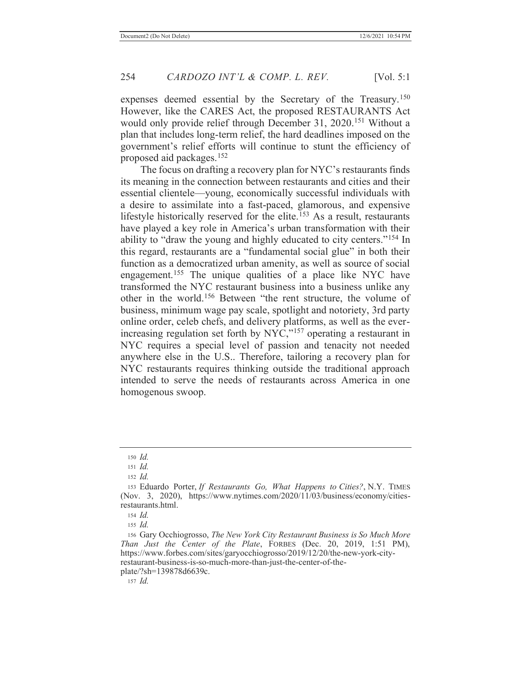expenses deemed essential by the Secretary of the Treasury.<sup>150</sup> However, like the CARES Act, the proposed RESTAURANTS Act would only provide relief through December 31, 2020.<sup>151</sup> Without a plan that includes long-term relief, the hard deadlines imposed on the government's relief efforts will continue to stunt the efficiency of proposed aid packages.152

The focus on drafting a recovery plan for NYC's restaurants finds its meaning in the connection between restaurants and cities and their essential clientele—young, economically successful individuals with a desire to assimilate into a fast-paced, glamorous, and expensive lifestyle historically reserved for the elite.<sup>153</sup> As a result, restaurants have played a key role in America's urban transformation with their ability to "draw the young and highly educated to city centers."154 In this regard, restaurants are a "fundamental social glue" in both their function as a democratized urban amenity, as well as source of social engagement.<sup>155</sup> The unique qualities of a place like NYC have transformed the NYC restaurant business into a business unlike any other in the world.156 Between "the rent structure, the volume of business, minimum wage pay scale, spotlight and notoriety, 3rd party online order, celeb chefs, and delivery platforms, as well as the everincreasing regulation set forth by  $Nyc$ ,<sup> $157$ </sup> operating a restaurant in NYC requires a special level of passion and tenacity not needed anywhere else in the U.S.. Therefore, tailoring a recovery plan for NYC restaurants requires thinking outside the traditional approach intended to serve the needs of restaurants across America in one homogenous swoop.

<sup>150</sup> *Id.*

<sup>151</sup> *Id.*

<sup>152</sup> *Id.*

<sup>153</sup> Eduardo Porter, *If Restaurants Go, What Happens to Cities?*, N.Y. TIMES (Nov. 3, 2020), https://www.nytimes.com/2020/11/03/business/economy/citiesrestaurants.html.

<sup>154</sup> *Id.*

<sup>155</sup> *Id.*

<sup>156</sup> Gary Occhiogrosso, *The New York City Restaurant Business is So Much More Than Just the Center of the Plate*, FORBES (Dec. 20, 2019, 1:51 PM), https://www.forbes.com/sites/garyocchiogrosso/2019/12/20/the-new-york-cityrestaurant-business-is-so-much-more-than-just-the-center-of-the-

plate/?sh=139878d6639c.

<sup>157</sup> *Id.*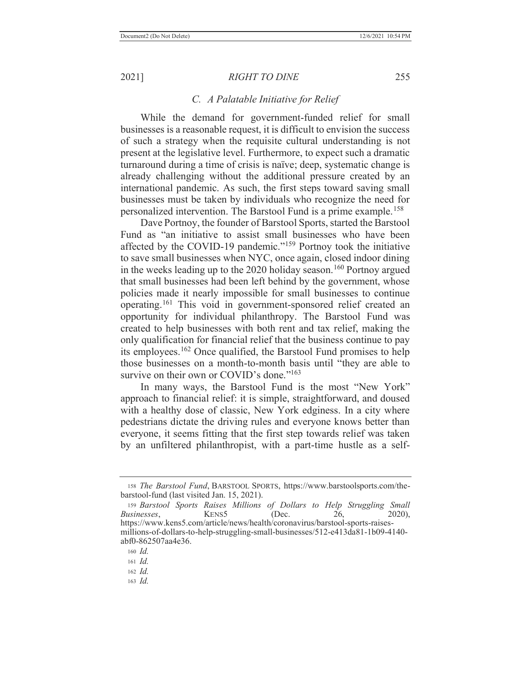### *C. A Palatable Initiative for Relief*

While the demand for government-funded relief for small businesses is a reasonable request, it is difficult to envision the success of such a strategy when the requisite cultural understanding is not present at the legislative level. Furthermore, to expect such a dramatic turnaround during a time of crisis is naïve; deep, systematic change is already challenging without the additional pressure created by an international pandemic. As such, the first steps toward saving small businesses must be taken by individuals who recognize the need for personalized intervention. The Barstool Fund is a prime example. 158

Dave Portnoy, the founder of Barstool Sports, started the Barstool Fund as "an initiative to assist small businesses who have been affected by the COVID-19 pandemic."159 Portnoy took the initiative to save small businesses when NYC, once again, closed indoor dining in the weeks leading up to the 2020 holiday season.<sup>160</sup> Portnoy argued that small businesses had been left behind by the government, whose policies made it nearly impossible for small businesses to continue operating.161 This void in government-sponsored relief created an opportunity for individual philanthropy. The Barstool Fund was created to help businesses with both rent and tax relief, making the only qualification for financial relief that the business continue to pay its employees.162 Once qualified, the Barstool Fund promises to help those businesses on a month-to-month basis until "they are able to survive on their own or COVID's done."<sup>163</sup>

In many ways, the Barstool Fund is the most "New York" approach to financial relief: it is simple, straightforward, and doused with a healthy dose of classic, New York edginess. In a city where pedestrians dictate the driving rules and everyone knows better than everyone, it seems fitting that the first step towards relief was taken by an unfiltered philanthropist, with a part-time hustle as a self-

<sup>158</sup> *The Barstool Fund*, BARSTOOL SPORTS, https://www.barstoolsports.com/thebarstool-fund (last visited Jan. 15, 2021).

<sup>159</sup> *Barstool Sports Raises Millions of Dollars to Help Struggling Small Businesses*, **KENS5** (Dec. 26, 2020), https://www.kens5.com/article/news/health/coronavirus/barstool-sports-raisesmillions-of-dollars-to-help-struggling-small-businesses/512-e413da81-1b09-4140 abf0-862507aa4e36.

<sup>160</sup> *Id.*

<sup>161</sup> *Id.*

<sup>162</sup> *Id.*

<sup>163</sup> *Id.*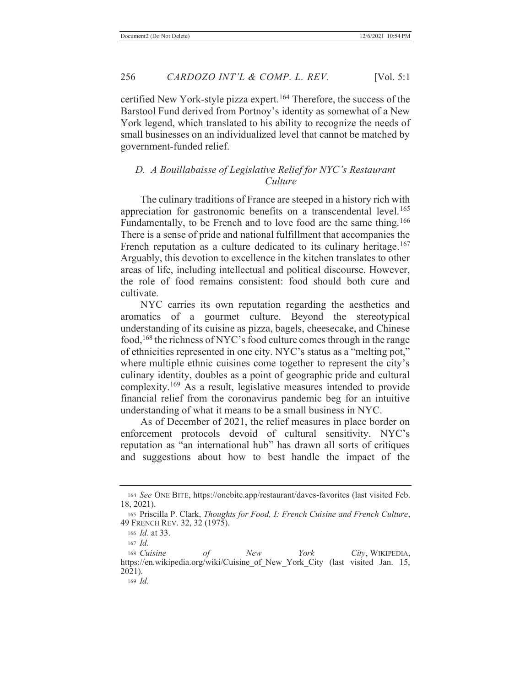certified New York-style pizza expert.<sup>164</sup> Therefore, the success of the Barstool Fund derived from Portnoy's identity as somewhat of a New York legend, which translated to his ability to recognize the needs of small businesses on an individualized level that cannot be matched by government-funded relief.

# *D. A Bouillabaisse of Legislative Relief for NYC's Restaurant Culture*

The culinary traditions of France are steeped in a history rich with appreciation for gastronomic benefits on a transcendental level.<sup>165</sup> Fundamentally, to be French and to love food are the same thing.<sup>166</sup> There is a sense of pride and national fulfillment that accompanies the French reputation as a culture dedicated to its culinary heritage.<sup>167</sup> Arguably, this devotion to excellence in the kitchen translates to other areas of life, including intellectual and political discourse. However, the role of food remains consistent: food should both cure and cultivate.

NYC carries its own reputation regarding the aesthetics and aromatics of a gourmet culture. Beyond the stereotypical understanding of its cuisine as pizza, bagels, cheesecake, and Chinese food,168 the richness of NYC's food culture comes through in the range of ethnicities represented in one city. NYC's status as a "melting pot," where multiple ethnic cuisines come together to represent the city's culinary identity, doubles as a point of geographic pride and cultural complexity.169 As a result, legislative measures intended to provide financial relief from the coronavirus pandemic beg for an intuitive understanding of what it means to be a small business in NYC.

As of December of 2021, the relief measures in place border on enforcement protocols devoid of cultural sensitivity. NYC's reputation as "an international hub" has drawn all sorts of critiques and suggestions about how to best handle the impact of the

<sup>164</sup> *See* ONE BITE, https://onebite.app/restaurant/daves-favorites (last visited Feb. 18, 2021).

<sup>165</sup> Priscilla P. Clark, *Thoughts for Food, I: French Cuisine and French Culture*, 49 FRENCH REV. 32, 32 (1975).

<sup>166</sup> *Id.* at 33.

<sup>167</sup> *Id.*

<sup>168</sup> *Cuisine of New York City*, WIKIPEDIA, https://en.wikipedia.org/wiki/Cuisine\_of\_New\_York\_City (last visited Jan. 15, 2021).

<sup>169</sup> *Id.*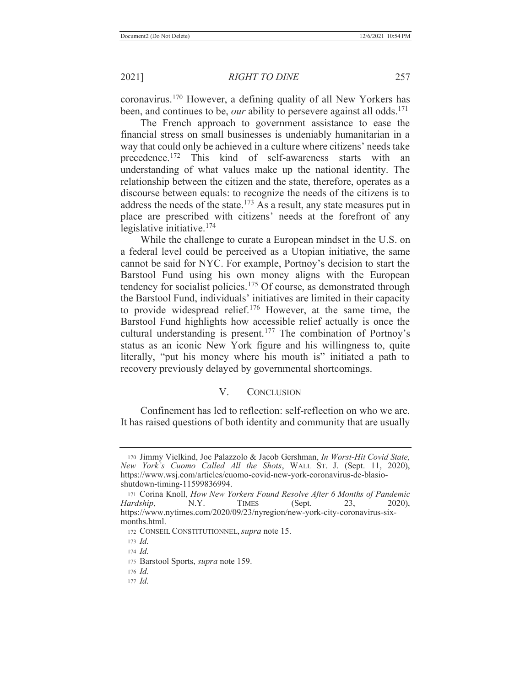coronavirus.170 However, a defining quality of all New Yorkers has been, and continues to be, *our* ability to persevere against all odds.<sup>171</sup>

The French approach to government assistance to ease the financial stress on small businesses is undeniably humanitarian in a way that could only be achieved in a culture where citizens' needs take precedence.172 This kind of self-awareness starts with an understanding of what values make up the national identity. The relationship between the citizen and the state, therefore, operates as a discourse between equals: to recognize the needs of the citizens is to address the needs of the state.<sup>173</sup> As a result, any state measures put in place are prescribed with citizens' needs at the forefront of any legislative initiative.174

While the challenge to curate a European mindset in the U.S. on a federal level could be perceived as a Utopian initiative, the same cannot be said for NYC. For example, Portnoy's decision to start the Barstool Fund using his own money aligns with the European tendency for socialist policies.<sup>175</sup> Of course, as demonstrated through the Barstool Fund, individuals' initiatives are limited in their capacity to provide widespread relief.176 However, at the same time, the Barstool Fund highlights how accessible relief actually is once the cultural understanding is present.<sup>177</sup> The combination of Portnoy's status as an iconic New York figure and his willingness to, quite literally, "put his money where his mouth is" initiated a path to recovery previously delayed by governmental shortcomings.

# V. CONCLUSION

Confinement has led to reflection: self-reflection on who we are. It has raised questions of both identity and community that are usually

<sup>170</sup> Jimmy Vielkind, Joe Palazzolo & Jacob Gershman, *In Worst-Hit Covid State, New York's Cuomo Called All the Shots*, WALL ST. J. (Sept. 11, 2020), https://www.wsj.com/articles/cuomo-covid-new-york-coronavirus-de-blasioshutdown-timing-11599836994.

<sup>171</sup> Corina Knoll, *How New Yorkers Found Resolve After 6 Months of Pandemic Hardship*, N.Y. TIMES (Sept. 23, 2020), https://www.nytimes.com/2020/09/23/nyregion/new-york-city-coronavirus-sixmonths.html.

<sup>172</sup> CONSEIL CONSTITUTIONNEL, *supra* note 15.

<sup>173</sup> *Id.*

<sup>174</sup> *Id.*

<sup>175</sup> Barstool Sports, *supra* note 159.

<sup>176</sup> *Id.*

<sup>177</sup> *Id.*